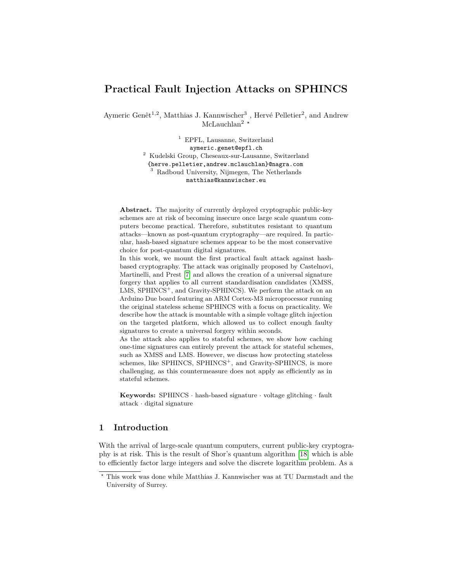# **Practical Fault Injection Attacks on SPHINCS**

Aymeric Genêt<sup>1,2</sup>, Matthias J. Kannwischer<sup>3</sup>, Hervé Pelletier<sup>2</sup>, and Andrew McLauchlan<sup>2</sup> \*

> <sup>1</sup> EPFL, Lausanne, Switzerland aymeric.genet@epfl.ch <sup>2</sup> Kudelski Group, Cheseaux-sur-Lausanne, Switzerland {herve.pelletier,andrew.mclauchlan}@nagra.com <sup>3</sup> Radboud University, Nijmegen, The Netherlands matthias@kannwischer.eu

**Abstract.** The majority of currently deployed cryptographic public-key schemes are at risk of becoming insecure once large scale quantum computers become practical. Therefore, substitutes resistant to quantum attacks—known as post-quantum cryptography—are required. In particular, hash-based signature schemes appear to be the most conservative choice for post-quantum digital signatures.

In this work, we mount the first practical fault attack against hashbased cryptography. The attack was originally proposed by Castelnovi, Martinelli, and Prest [\[7\]](#page-16-0) and allows the creation of a universal signature forgery that applies to all current standardisation candidates (XMSS, LMS, SPHINCS<sup>+</sup>, and Gravity-SPHINCS). We perform the attack on an Arduino Due board featuring an ARM Cortex-M3 microprocessor running the original stateless scheme SPHINCS with a focus on practicality. We describe how the attack is mountable with a simple voltage glitch injection on the targeted platform, which allowed us to collect enough faulty signatures to create a universal forgery within seconds.

As the attack also applies to stateful schemes, we show how caching one-time signatures can entirely prevent the attack for stateful schemes, such as XMSS and LMS. However, we discuss how protecting stateless schemes, like SPHINCS, SPHINCS<sup>+</sup>, and Gravity-SPHINCS, is more challenging, as this countermeasure does not apply as efficiently as in stateful schemes.

**Keywords:** SPHINCS · hash-based signature · voltage glitching · fault attack · digital signature

## **1 Introduction**

With the arrival of large-scale quantum computers, current public-key cryptography is at risk. This is the result of Shor's quantum algorithm [\[18\]](#page-17-0) which is able to efficiently factor large integers and solve the discrete logarithm problem. As a

*<sup>?</sup>* This work was done while Matthias J. Kannwischer was at TU Darmstadt and the University of Surrey.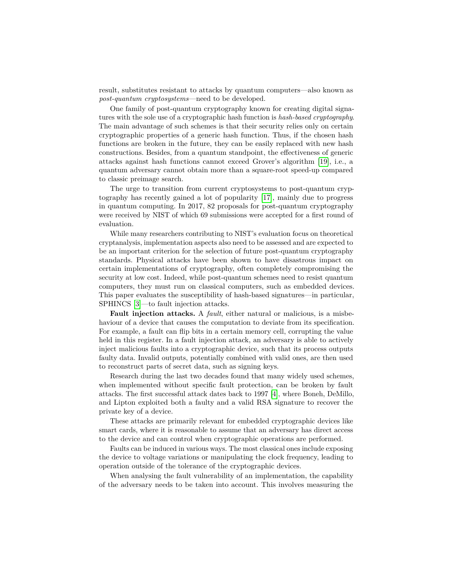result, substitutes resistant to attacks by quantum computers—also known as *post-quantum cryptosystems*—need to be developed.

One family of post-quantum cryptography known for creating digital signatures with the sole use of a cryptographic hash function is *hash-based cryptography*. The main advantage of such schemes is that their security relies only on certain cryptographic properties of a generic hash function. Thus, if the chosen hash functions are broken in the future, they can be easily replaced with new hash constructions. Besides, from a quantum standpoint, the effectiveness of generic attacks against hash functions cannot exceed Grover's algorithm [\[19\]](#page-17-1), i.e., a quantum adversary cannot obtain more than a square-root speed-up compared to classic preimage search.

The urge to transition from current cryptosystems to post-quantum cryptography has recently gained a lot of popularity [\[17\]](#page-17-2), mainly due to progress in quantum computing. In 2017, 82 proposals for post-quantum cryptography were received by NIST of which 69 submissions were accepted for a first round of evaluation.

While many researchers contributing to NIST's evaluation focus on theoretical cryptanalysis, implementation aspects also need to be assessed and are expected to be an important criterion for the selection of future post-quantum cryptography standards. Physical attacks have been shown to have disastrous impact on certain implementations of cryptography, often completely compromising the security at low cost. Indeed, while post-quantum schemes need to resist quantum computers, they must run on classical computers, such as embedded devices. This paper evaluates the susceptibility of hash-based signatures—in particular, SPHINCS [\[3\]](#page-16-1)—to fault injection attacks.

**Fault injection attacks.** A *fault*, either natural or malicious, is a misbehaviour of a device that causes the computation to deviate from its specification. For example, a fault can flip bits in a certain memory cell, corrupting the value held in this register. In a fault injection attack, an adversary is able to actively inject malicious faults into a cryptographic device, such that its process outputs faulty data. Invalid outputs, potentially combined with valid ones, are then used to reconstruct parts of secret data, such as signing keys.

Research during the last two decades found that many widely used schemes, when implemented without specific fault protection, can be broken by fault attacks. The first successful attack dates back to 1997 [\[4\]](#page-16-2), where Boneh, DeMillo, and Lipton exploited both a faulty and a valid RSA signature to recover the private key of a device.

These attacks are primarily relevant for embedded cryptographic devices like smart cards, where it is reasonable to assume that an adversary has direct access to the device and can control when cryptographic operations are performed.

Faults can be induced in various ways. The most classical ones include exposing the device to voltage variations or manipulating the clock frequency, leading to operation outside of the tolerance of the cryptographic devices.

When analysing the fault vulnerability of an implementation, the capability of the adversary needs to be taken into account. This involves measuring the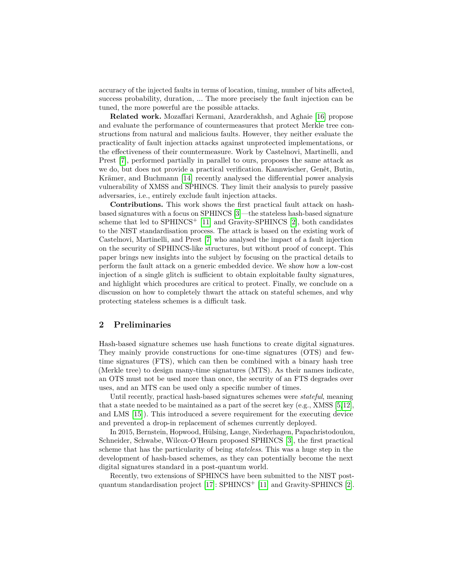accuracy of the injected faults in terms of location, timing, number of bits affected, success probability, duration, ... The more precisely the fault injection can be tuned, the more powerful are the possible attacks.

**Related work.** Mozaffari Kermani, Azarderakhsh, and Aghaie [\[16\]](#page-17-3) propose and evaluate the performance of countermeasures that protect Merkle tree constructions from natural and malicious faults. However, they neither evaluate the practicality of fault injection attacks against unprotected implementations, or the effectiveness of their countermeasure. Work by Castelnovi, Martinelli, and Prest [\[7\]](#page-16-0), performed partially in parallel to ours, proposes the same attack as we do, but does not provide a practical verification. Kannwischer, Genêt, Butin, Krämer, and Buchmann [\[14\]](#page-17-4) recently analysed the differential power analysis vulnerability of XMSS and SPHINCS. They limit their analysis to purely passive adversaries, i.e., entirely exclude fault injection attacks.

**Contributions.** This work shows the first practical fault attack on hashbased signatures with a focus on SPHINCS [\[3\]](#page-16-1)—the stateless hash-based signature scheme that led to  $SPHINCS<sup>+</sup>$  [\[11\]](#page-16-3) and Gravity-SPHINCS [\[2\]](#page-16-4), both candidates to the NIST standardisation process. The attack is based on the existing work of Castelnovi, Martinelli, and Prest [\[7\]](#page-16-0) who analysed the impact of a fault injection on the security of SPHINCS-like structures, but without proof of concept. This paper brings new insights into the subject by focusing on the practical details to perform the fault attack on a generic embedded device. We show how a low-cost injection of a single glitch is sufficient to obtain exploitable faulty signatures, and highlight which procedures are critical to protect. Finally, we conclude on a discussion on how to completely thwart the attack on stateful schemes, and why protecting stateless schemes is a difficult task.

### **2 Preliminaries**

Hash-based signature schemes use hash functions to create digital signatures. They mainly provide constructions for one-time signatures (OTS) and fewtime signatures (FTS), which can then be combined with a binary hash tree (Merkle tree) to design many-time signatures (MTS). As their names indicate, an OTS must not be used more than once, the security of an FTS degrades over uses, and an MTS can be used only a specific number of times.

Until recently, practical hash-based signatures schemes were *stateful*, meaning that a state needed to be maintained as a part of the secret key  $(e.g., \times MSS [5,12],$  $(e.g., \times MSS [5,12],$  $(e.g., \times MSS [5,12],$  $(e.g., \times MSS [5,12],$ and LMS [\[15\]](#page-17-5)). This introduced a severe requirement for the executing device and prevented a drop-in replacement of schemes currently deployed.

In 2015, Bernstein, Hopwood, Hülsing, Lange, Niederhagen, Papachristodoulou, Schneider, Schwabe, Wilcox-O'Hearn proposed SPHINCS [\[3\]](#page-16-1), the first practical scheme that has the particularity of being *stateless*. This was a huge step in the development of hash-based schemes, as they can potentially become the next digital signatures standard in a post-quantum world.

Recently, two extensions of SPHINCS have been submitted to the NIST postquantum standardisation project  $[17]$ : SPHINCS<sup>+</sup>  $[11]$  and Gravity-SPHINCS  $[2]$ .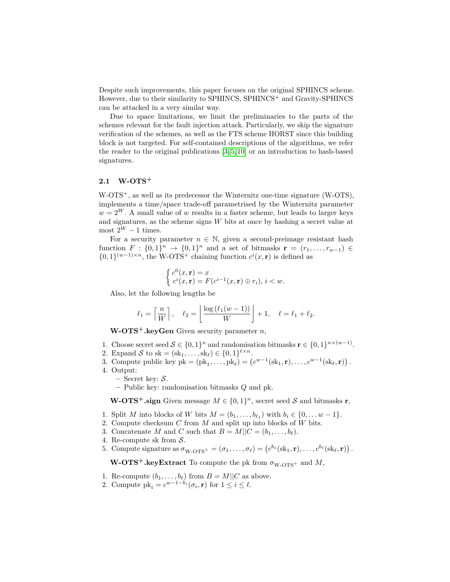Despite such improvements, this paper focuses on the original SPHINCS scheme. However, due to their similarity to SPHINCS, SPHINCS<sup>+</sup> and Gravity-SPHINCS can be attacked in a very similar way.

Due to space limitations, we limit the preliminaries to the parts of the schemes relevant for the fault injection attack. Particularly, we skip the signature verification of the schemes, as well as the FTS scheme HORST since this building block is not targeted. For self-contained descriptions of the algorithms, we refer the reader to the original publications [\[3,](#page-16-1) [5,](#page-16-5) [10\]](#page-16-7) or an introduction to hash-based signatures.

# **2.1 W-OTS<sup>+</sup>**

W-OTS<sup>+</sup>, as well as its predecessor the Winternitz one-time signature (W-OTS), implements a time/space trade-off parametrised by the Winternitz parameter  $w = 2^W$ . A small value of *w* results in a faster scheme, but leads to larger keys and signatures, as the scheme signs *W* bits at once by hashing a secret value at most  $2^W - 1$  times.

For a security parameter  $n \in \mathbb{N}$ , given a second-preimage resistant hash function  $F: \{0,1\}^n \to \{0,1\}^n$  and a set of bitmasks  $\mathbf{r} = (r_1, \ldots, r_{w-1}) \in$  $\{0,1\}^{(w-1)\times n}$ , the W-OTS<sup>+</sup> chaining function  $c^i(x, \mathbf{r})$  is defined as

$$
\begin{cases} c^0(x, \mathbf{r}) = x \\ c^i(x, \mathbf{r}) = F(c^{i-1}(x, \mathbf{r}) \oplus r_i), i < w. \end{cases}
$$

Also, let the following lengths be

$$
\ell_1 = \left\lceil \frac{n}{W} \right\rceil, \quad \ell_2 = \left\lfloor \frac{\log \left( \ell_1 (w - 1) \right)}{W} \right\rfloor + 1, \quad \ell = \ell_1 + \ell_2.
$$

**W-OTS<sup>+</sup>.keyGen** Given security parameter *n*,

- 1. Choose secret seed  $S \in \{0,1\}^n$  and randomisation bitmasks  $\mathbf{r} \in \{0,1\}^{n \times (w-1)}$ .
- 2. Expand S to sk =  $(\text{sk}_1, \ldots, \text{sk}_\ell) \in \{0, 1\}^{\ell \times n}$ .
- 3. Compute public key  $pk = (pk_1, ..., pk_\ell) = (c^{w-1}(sk_1, r), ..., c^{w-1}(sk_\ell, r))$ .
- 4. Output:
	- **–** Secret key: S.
	- **–** Public key: randomisation bitmasks *Q* and pk.

**W-OTS<sup>+</sup>.sign** Given message  $M \in \{0,1\}^n$ , secret seed S and bitmasks **r**,

- 1. Split *M* into blocks of *W* bits  $M = (b_1, \ldots, b_{\ell_1})$  with  $b_i \in \{0, \ldots w 1\}$ .
- 2. Compute checksum *C* from *M* and split up into blocks of *W* bits.
- 3. Concatenate *M* and *C* such that  $B = M||C = (b_1, \ldots, b_\ell)$ .
- 4. Re-compute sk from  $S$ .
- 5. Compute signature as  $\sigma_{\text{W-OTS}} = (\sigma_1, \ldots, \sigma_\ell) = (c^{b_1}(\text{sk}_1, \mathbf{r}), \ldots, c^{b_\ell}(\text{sk}_\ell, \mathbf{r}))$ .

**W-OTS<sup>+</sup>.keyExtract** To compute the pk from  $\sigma_{\text{W-OTS}}$  and *M*,

- 1. Re-compute  $(b_1, \ldots, b_\ell)$  from  $B = M||C$  as above.
- 2. Compute  $pk_i = c^{w-1-b_i}(\sigma_i, \mathbf{r})$  for  $1 \leq i \leq \ell$ .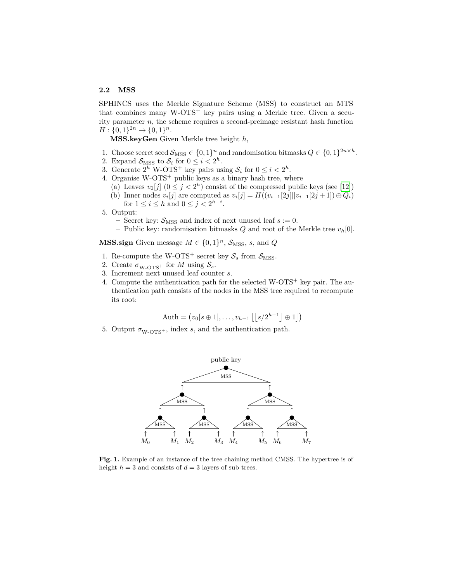# **2.2 MSS**

SPHINCS uses the Merkle Signature Scheme (MSS) to construct an MTS that combines many W-OTS<sup>+</sup> key pairs using a Merkle tree. Given a security parameter *n*, the scheme requires a second-preimage resistant hash function  $H: \{0, 1\}^{2n} \to \{0, 1\}^n$ .

**MSS.keyGen** Given Merkle tree height *h*,

- 1. Choose secret seed  $\mathcal{S}_{\text{MSS}} \in \{0,1\}^n$  and randomisation bitmasks  $Q \in \{0,1\}^{2n \times h}$ .
- 2. Expand  $S_{\text{MSS}}$  to  $S_i$  for  $0 \leq i < 2^h$ .
- 3. Generate  $2^h$  W-OTS<sup>+</sup> key pairs using  $S_i$  for  $0 \le i < 2^h$ .
- 4. Organise  $W-OTS^+$  public keys as a binary hash tree, where
	- (a) Leaves  $v_0[j]$   $(0 \le j < 2<sup>h</sup>)$  consist of the compressed public keys (see [\[12\]](#page-16-6)) (b) Inner nodes  $v_i[j]$  are computed as  $v_i[j] = H((v_{i-1}[2j]||v_{i-1}[2j+1]) \oplus Q_i)$
	- for  $1 \le i \le h$  and  $0 \le j < 2^{h-i}$ .
- 5. Output:
	- Secret key:  $S_{MSS}$  and index of next unused leaf  $s := 0$ .
	- **–** Public key: randomisation bitmasks *Q* and root of the Merkle tree *vh*[0].

**MSS.sign** Given message  $M \in \{0, 1\}^n$ ,  $\mathcal{S}_{\text{MSS}}$ , *s*, and *Q* 

- 1. Re-compute the W-OTS<sup>+</sup> secret key  $S_s$  from  $S_{\text{MSS}}$ .
- 2. Create  $\sigma_{\text{W-OTS}}$  for *M* using  $S_s$ .
- 3. Increment next unused leaf counter *s*.
- 4. Compute the authentication path for the selected  $W-OTS^{+}$  key pair. The authentication path consists of the nodes in the MSS tree required to recompute its root:

$$
Auth = (v_0[s \oplus 1], \ldots, v_{h-1} \left[ \left| s/2^{h-1} \right| \oplus 1 \right])
$$

5. Output  $\sigma_{\text{W-OTS}}$ , index *s*, and the authentication path.



<span id="page-4-0"></span>**Fig. 1.** Example of an instance of the tree chaining method CMSS. The hypertree is of height  $h = 3$  and consists of  $d = 3$  layers of sub trees.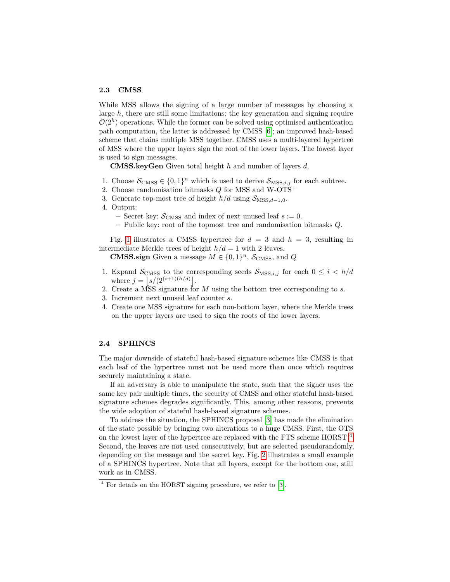### **2.3 CMSS**

While MSS allows the signing of a large number of messages by choosing a large *h*, there are still some limitations: the key generation and signing require  $\mathcal{O}(2^h)$  operations. While the former can be solved using optimised authentication path computation, the latter is addressed by CMSS [\[6\]](#page-16-8); an improved hash-based scheme that chains multiple MSS together. CMSS uses a multi-layered hypertree of MSS where the upper layers sign the root of the lower layers. The lowest layer is used to sign messages.

**CMSS.keyGen** Given total height *h* and number of layers *d*,

- 1. Choose  $\mathcal{S}_{\text{CMS}} \in \{0,1\}^n$  which is used to derive  $\mathcal{S}_{\text{MSS},i,j}$  for each subtree.
- 2. Choose randomisation bitmasks *Q* for MSS and W-OTS<sup>+</sup>
- 3. Generate top-most tree of height  $h/d$  using  $S_{\text{MSS},d-1,0}$ .
- 4. Output:
	- Secret key:  $S_{\text{CMS}}$  and index of next unused leaf  $s := 0$ .
	- **–** Public key: root of the topmost tree and randomisation bitmasks *Q*.

Fig. [1](#page-4-0) illustrates a CMSS hypertree for  $d = 3$  and  $h = 3$ , resulting in intermediate Merkle trees of height  $h/d = 1$  with 2 leaves.

**CMSS.sign** Given a message  $M \in \{0, 1\}^n$ ,  $\mathcal{S}_{\text{CMSS}}$ , and *Q* 

- 1. Expand  $S_{\text{CMS}}$  to the corresponding seeds  $S_{\text{MSS},i,j}$  for each  $0 \leq i \leq h/d$ where  $j = |s/(2^{(i+1)(h/d)})|$ .
- 2. Create a MSS signature for *M* using the bottom tree corresponding to *s*.
- 3. Increment next unused leaf counter *s*.
- 4. Create one MSS signature for each non-bottom layer, where the Merkle trees on the upper layers are used to sign the roots of the lower layers.

### **2.4 SPHINCS**

The major downside of stateful hash-based signature schemes like CMSS is that each leaf of the hypertree must not be used more than once which requires securely maintaining a state.

If an adversary is able to manipulate the state, such that the signer uses the same key pair multiple times, the security of CMSS and other stateful hash-based signature schemes degrades significantly. This, among other reasons, prevents the wide adoption of stateful hash-based signature schemes.

To address the situation, the SPHINCS proposal [\[3\]](#page-16-1) has made the elimination of the state possible by bringing two alterations to a huge CMSS. First, the OTS on the lowest layer of the hypertree are replaced with the FTS scheme HORST  $4$ . Second, the leaves are not used consecutively, but are selected pseudorandomly, depending on the message and the secret key. Fig. [2](#page-6-0) illustrates a small example of a SPHINCS hypertree. Note that all layers, except for the bottom one, still work as in CMSS.

<span id="page-5-0"></span><sup>4</sup> For details on the HORST signing procedure, we refer to [\[3\]](#page-16-1).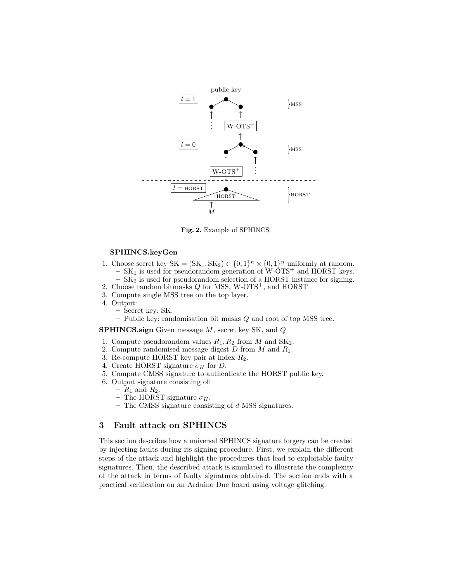

<span id="page-6-0"></span>**Fig. 2.** Example of SPHINCS.

### **SPHINCS.keyGen**

- 1. Choose secret key  $SK = (SK_1, SK_2) \in \{0, 1\}^n \times \{0, 1\}^n$  uniformly at random. **–** SK<sup>1</sup> is used for pseudorandom generation of W-OTS<sup>+</sup> and HORST keys. **–** SK<sup>2</sup> is used for pseudorandom selection of a HORST instance for signing.
- 2. Choose random bitmasks *Q* for MSS, W-OTS<sup>+</sup>, and HORST
- 3. Compute single MSS tree on the top layer.
- 4. Output:
	- **–** Secret key: SK.
	- **–** Public key: randomisation bit masks *Q* and root of top MSS tree.

**SPHINCS.sign** Given message *M*, secret key SK, and *Q*

- 1. Compute pseudorandom values *R*1*, R*<sup>2</sup> from *M* and SK2.
- 2. Compute randomised message digest *D* from *M* and *R*1.
- 3. Re-compute HORST key pair at index *R*2.
- 4. Create HORST signature  $\sigma_H$  for *D*.
- 5. Compute CMSS signature to authenticate the HORST public key.
- 6. Output signature consisting of:
	- $R_1$  and  $R_2$ .
	- **–** The HORST signature *σH*.
	- **–** The CMSS signature consisting of *d* MSS signatures.

# **3 Fault attack on SPHINCS**

This section describes how a universal SPHINCS signature forgery can be created by injecting faults during its signing procedure. First, we explain the different steps of the attack and highlight the procedures that lead to exploitable faulty signatures. Then, the described attack is simulated to illustrate the complexity of the attack in terms of faulty signatures obtained. The section ends with a practical verification on an Arduino Due board using voltage glitching.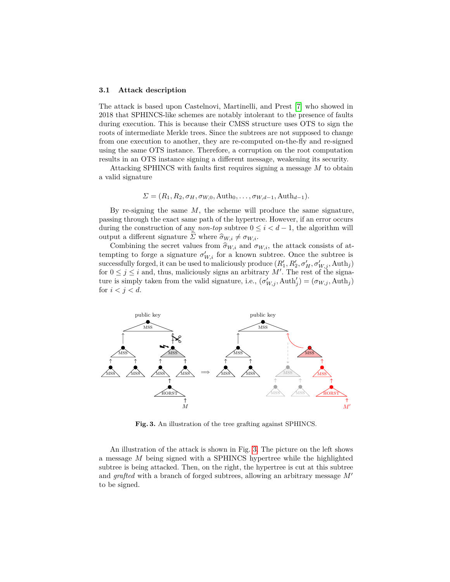#### **3.1 Attack description**

The attack is based upon Castelnovi, Martinelli, and Prest [\[7\]](#page-16-0) who showed in 2018 that SPHINCS-like schemes are notably intolerant to the presence of faults during execution. This is because their CMSS structure uses OTS to sign the roots of intermediate Merkle trees. Since the subtrees are not supposed to change from one execution to another, they are re-computed on-the-fly and re-signed using the same OTS instance. Therefore, a corruption on the root computation results in an OTS instance signing a different message, weakening its security.

Attacking SPHINCS with faults first requires signing a message *M* to obtain a valid signature

$$
\Sigma = (R_1, R_2, \sigma_H, \sigma_{W,0}, \mathrm{Auth}_0, \ldots, \sigma_{W,d-1}, \mathrm{Auth}_{d-1}).
$$

By re-signing the same *M*, the scheme will produce the same signature, passing through the exact same path of the hypertree. However, if an error occurs during the construction of any *non-top* subtree  $0 \leq i < d-1$ , the algorithm will output a different signature  $\Sigma$  where  $\hat{\sigma}_{W,i} \neq \sigma_{W,i}$ .

Combining the secret values from  $\hat{\sigma}_{W,i}$  and  $\sigma_{W,i}$ , the attack consists of attempting to forge a signature  $\sigma'_{W,i}$  for a known subtree. Once the subtree is  $\alpha$  successfully forged, it can be used to maliciously produce  $(R'_1, R'_2, \sigma'_H, \sigma'_{W,j}, \text{Auth}_j)$ for  $0 \leq j \leq i$  and, thus, maliciously signs an arbitrary M'. The rest of the signature is simply taken from the valid signature, i.e.,  $(\sigma'_{W,j}, \text{Auth}'_j) = (\sigma_{W,j}, \text{Auth}_j)$ for  $i < j < d$ .



<span id="page-7-0"></span>**Fig. 3.** An illustration of the tree grafting against SPHINCS.

An illustration of the attack is shown in Fig. [3.](#page-7-0) The picture on the left shows a message *M* being signed with a SPHINCS hypertree while the highlighted subtree is being attacked. Then, on the right, the hypertree is cut at this subtree and *grafted* with a branch of forged subtrees, allowing an arbitrary message  $M'$ to be signed.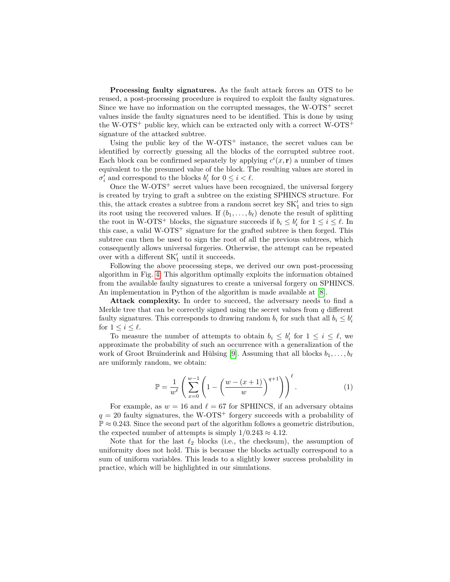**Processing faulty signatures.** As the fault attack forces an OTS to be reused, a post-processing procedure is required to exploit the faulty signatures. Since we have no information on the corrupted messages, the  $W-OTS^+$  secret values inside the faulty signatures need to be identified. This is done by using the W-OTS<sup>+</sup> public key, which can be extracted only with a correct W-OTS<sup>+</sup> signature of the attacked subtree.

Using the public key of the W-OTS<sup>+</sup> instance, the secret values can be identified by correctly guessing all the blocks of the corrupted subtree root. Each block can be confirmed separately by applying  $c^i(x, \mathbf{r})$  a number of times equivalent to the presumed value of the block. The resulting values are stored in  $\sigma'_{i}$  and correspond to the blocks  $b'_{i}$  for  $0 \leq i < \ell$ .

Once the  $W-OTS^+$  secret values have been recognized, the universal forgery is created by trying to graft a subtree on the existing SPHINCS structure. For this, the attack creates a subtree from a random secret key  $\mathbf{SK}'_1$  and tries to sign its root using the recovered values. If  $(b_1, \ldots, b_\ell)$  denote the result of splitting the root in W-OTS<sup>+</sup> blocks, the signature succeeds if  $b_i \leq b'_i$  for  $1 \leq i \leq \ell$ . In this case, a valid  $W-OTS^+$  signature for the grafted subtree is then forged. This subtree can then be used to sign the root of all the previous subtrees, which consequently allows universal forgeries. Otherwise, the attempt can be repeated over with a different  $\mathrm{SK}'_1$  until it succeeds.

Following the above processing steps, we derived our own post-processing algorithm in Fig. [4.](#page-9-0) This algorithm optimally exploits the information obtained from the available faulty signatures to create a universal forgery on SPHINCS. An implementation in Python of the algorithm is made available at [\[8\]](#page-16-9).

**Attack complexity.** In order to succeed, the adversary needs to find a Merkle tree that can be correctly signed using the secret values from *q* different faulty signatures. This corresponds to drawing random  $b_i$  for such that all  $b_i \leq b'_i$ for  $1 \leq i \leq \ell$ .

<span id="page-8-0"></span>To measure the number of attempts to obtain  $b_i \leq b'_i$  for  $1 \leq i \leq \ell$ , we approximate the probability of such an occurrence with a generalization of the work of Groot Bruinderink and Hülsing [\[9\]](#page-16-10). Assuming that all blocks  $b_1, \ldots, b_\ell$ are uniformly random, we obtain:

$$
\mathbb{P} = \frac{1}{w^{\ell}} \left( \sum_{x=0}^{w-1} \left( 1 - \left( \frac{w - (x+1)}{w} \right)^{q+1} \right) \right)^{\ell}.
$$
 (1)

For example, as  $w = 16$  and  $\ell = 67$  for SPHINCS, if an adversary obtains  $q = 20$  faulty signatures, the W-OTS<sup>+</sup> forgery succeeds with a probability of  $\mathbb{P} \approx 0.243$ . Since the second part of the algorithm follows a geometric distribution, the expected number of attempts is simply  $1/0.243 \approx 4.12$ .

Note that for the last  $\ell_2$  blocks (i.e., the checksum), the assumption of uniformity does not hold. This is because the blocks actually correspond to a sum of uniform variables. This leads to a slightly lower success probability in practice, which will be highlighted in our simulations.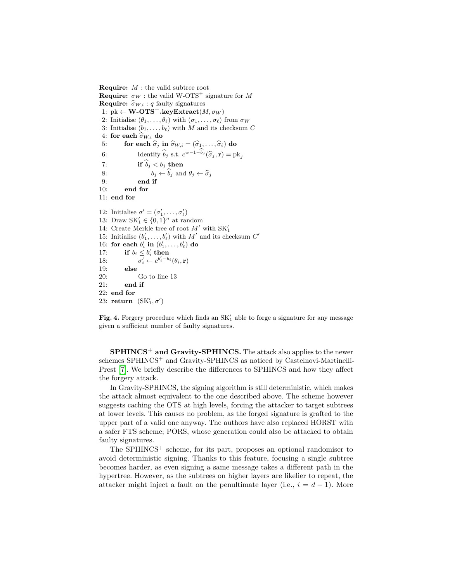**Require:** *M* : the valid subtree root **Require:**  $\sigma_W$  : the valid W-OTS<sup>+</sup> signature for M **Require:**  $\hat{\sigma}_{W,i}$  : *q* faulty signatures 1:  $pk \leftarrow \mathbf{W}\text{-}\mathbf{OTS}^+$ **.keyExtract** $(M, \sigma_W)$ 2: Initialise  $(\theta_1, \ldots, \theta_\ell)$  with  $(\sigma_1, \ldots, \sigma_\ell)$  from  $\sigma_W$ 3: Initialise  $(b_1, \ldots, b_\ell)$  with *M* and its checksum *C* 4: **for each**  $\hat{\sigma}_{W,i}$  **do**<br>5: **for each**  $\hat{\sigma}_i$  **i** 5: **for each**  $\hat{\sigma}_j$  **in**  $\hat{\sigma}_{W,i} = (\hat{\sigma}_1, \dots, \hat{\sigma}_\ell)$  **do**<br>6: **Identify**  $\hat{b}_j$  **s.t.**  $c^{w-1-\hat{b}_j}(\hat{\sigma}_j, \mathbf{r}) = p!$ 6: Identify  $\hat{b}_j$  s.t.  $c^{w-1-b_j}(\hat{\sigma}_j, \mathbf{r}) = \text{pk}_j$ 7: **if**  $b_j < b_j$  **then** 8:  $b_j \leftarrow b_j \text{ and } \theta_j \leftarrow \widehat{\sigma}_j$ <br>
9. and **if** 9: **end if** 10: **end for** 11: **end for** 12: Initialise  $\sigma' = (\sigma'_1, \ldots, \sigma'_\ell)$ 13: Draw  $SK'_1 \in \{0, 1\}^n$  at random 14: Create Merkle tree of root  $M'$  with  $SK'_1$ 15: Initialise  $(b'_1, \ldots, b'_\ell)$  with  $M'$  and its checksum  $C'$ 16: **for each**  $b'_i$  **in**  $(b'_1, \ldots, b'_\ell)$  **do** 17: **if**  $b_i \leq b'_i$  **then** 18: *σ*  $\overline{b}$ <sub>i</sub> ←  $c^{b'_i-b_i}(\theta_i, \mathbf{r})$ 19: **else** 20: Go to line 13 21: **end if** 22: **end for** 23: **return**  $(SK'_1, \sigma')$ 

<span id="page-9-0"></span>Fig. 4. Forgery procedure which finds an  $SK'_{1}$  able to forge a signature for any message given a sufficient number of faulty signatures.

**SPHINCS<sup>+</sup> and Gravity-SPHINCS.** The attack also applies to the newer schemes SPHINCS<sup>+</sup> and Gravity-SPHINCS as noticed by Castelnovi-Martinelli-Prest [\[7\]](#page-16-0). We briefly describe the differences to SPHINCS and how they affect the forgery attack.

In Gravity-SPHINCS, the signing algorithm is still deterministic, which makes the attack almost equivalent to the one described above. The scheme however suggests caching the OTS at high levels, forcing the attacker to target subtrees at lower levels. This causes no problem, as the forged signature is grafted to the upper part of a valid one anyway. The authors have also replaced HORST with a safer FTS scheme; PORS, whose generation could also be attacked to obtain faulty signatures.

The SPHINCS<sup>+</sup> scheme, for its part, proposes an optional randomiser to avoid deterministic signing. Thanks to this feature, focusing a single subtree becomes harder, as even signing a same message takes a different path in the hypertree. However, as the subtrees on higher layers are likelier to repeat, the attacker might inject a fault on the penultimate layer (i.e.,  $i = d - 1$ ). More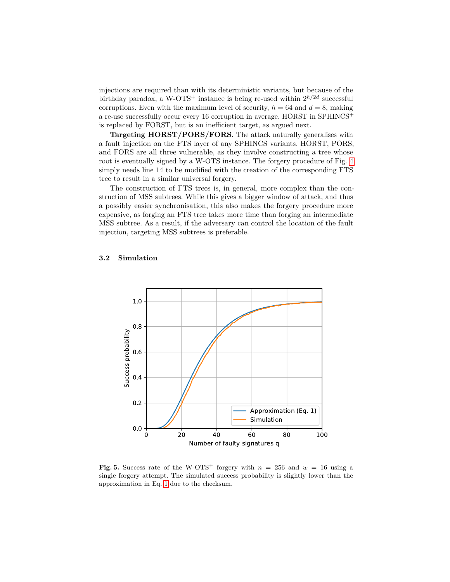injections are required than with its deterministic variants, but because of the birthday paradox, a W-OTS<sup>+</sup> instance is being re-used within  $2^{h/2d}$  successful corruptions. Even with the maximum level of security,  $h = 64$  and  $d = 8$ , making a re-use successfully occur every 16 corruption in average. HORST in SPHINCS<sup>+</sup> is replaced by FORST, but is an inefficient target, as argued next.

**Targeting HORST/PORS/FORS.** The attack naturally generalises with a fault injection on the FTS layer of any SPHINCS variants. HORST, PORS, and FORS are all three vulnerable, as they involve constructing a tree whose root is eventually signed by a W-OTS instance. The forgery procedure of Fig. [4](#page-9-0) simply needs line 14 to be modified with the creation of the corresponding FTS tree to result in a similar universal forgery.

The construction of FTS trees is, in general, more complex than the construction of MSS subtrees. While this gives a bigger window of attack, and thus a possibly easier synchronisation, this also makes the forgery procedure more expensive, as forging an FTS tree takes more time than forging an intermediate MSS subtree. As a result, if the adversary can control the location of the fault injection, targeting MSS subtrees is preferable.

### <span id="page-10-1"></span>**3.2 Simulation**



<span id="page-10-0"></span>**Fig. 5.** Success rate of the W-OTS<sup>+</sup> forgery with  $n = 256$  and  $w = 16$  using a single forgery attempt. The simulated success probability is slightly lower than the approximation in Eq. [1](#page-8-0) due to the checksum.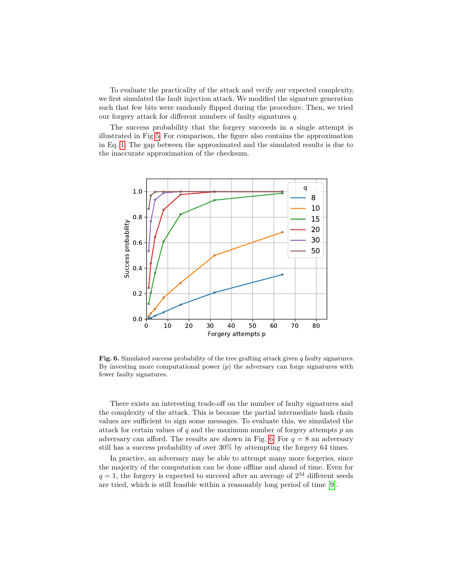To evaluate the practicality of the attack and verify our expected complexity, we first simulated the fault injection attack. We modified the signature generation such that few bits were randomly flipped during the procedure. Then, we tried our forgery attack for different numbers of faulty signatures *q*.

The success probability that the forgery succeeds in a single attempt is illustrated in Fig [5.](#page-10-0) For comparison, the figure also contains the approximation in Eq. [1.](#page-8-0) The gap between the approximated and the simulated results is due to the inaccurate approximation of the checksum.



<span id="page-11-0"></span>**Fig. 6.** Simulated success probability of the tree grafting attack given *q* faulty signatures. By investing more computational power (*p*) the adversary can forge signatures with fewer faulty signatures.

There exists an interesting trade-off on the number of faulty signatures and the complexity of the attack. This is because the partial intermediate hash chain values are sufficient to sign some messages. To evaluate this, we simulated the attack for certain values of *q* and the maximum number of forgery attempts *p* an adversary can afford. The results are shown in Fig. [6.](#page-11-0) For  $q = 8$  an adversary still has a success probability of over 30% by attempting the forgery 64 times.

In practice, an adversary may be able to attempt many more forgeries, since the majority of the computation can be done offline and ahead of time. Even for  $q = 1$ , the forgery is expected to succeed after an average of  $2^{34}$  different seeds are tried, which is still feasible within a reasonably long period of time [\[9\]](#page-16-10).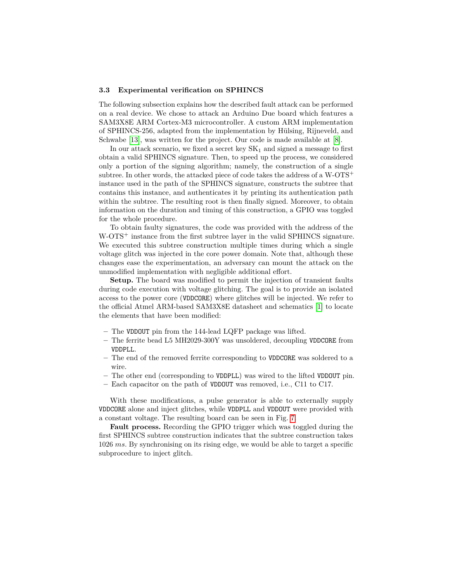### **3.3 Experimental verification on SPHINCS**

The following subsection explains how the described fault attack can be performed on a real device. We chose to attack an Arduino Due board which features a SAM3X8E ARM Cortex-M3 microcontroller. A custom ARM implementation of SPHINCS-256, adapted from the implementation by Hülsing, Rijneveld, and Schwabe [\[13\]](#page-17-6), was written for the project. Our code is made available at [\[8\]](#page-16-9).

In our attack scenario, we fixed a secret key  $SK_1$  and signed a message to first obtain a valid SPHINCS signature. Then, to speed up the process, we considered only a portion of the signing algorithm; namely, the construction of a single subtree. In other words, the attacked piece of code takes the address of a  $W$ -OTS<sup>+</sup> instance used in the path of the SPHINCS signature, constructs the subtree that contains this instance, and authenticates it by printing its authentication path within the subtree. The resulting root is then finally signed. Moreover, to obtain information on the duration and timing of this construction, a GPIO was toggled for the whole procedure.

To obtain faulty signatures, the code was provided with the address of the W-OTS<sup>+</sup> instance from the first subtree layer in the valid SPHINCS signature. We executed this subtree construction multiple times during which a single voltage glitch was injected in the core power domain. Note that, although these changes ease the experimentation, an adversary can mount the attack on the unmodified implementation with negligible additional effort.

**Setup.** The board was modified to permit the injection of transient faults during code execution with voltage glitching. The goal is to provide an isolated access to the power core (VDDCORE) where glitches will be injected. We refer to the official Atmel ARM-based SAM3X8E datasheet and schematics [\[1\]](#page-16-11) to locate the elements that have been modified:

- **–** The VDDOUT pin from the 144-lead LQFP package was lifted.
- **–** The ferrite bead L5 MH2029-300Y was unsoldered, decoupling VDDCORE from VDDPLL.
- **–** The end of the removed ferrite corresponding to VDDCORE was soldered to a wire.
- **–** The other end (corresponding to VDDPLL) was wired to the lifted VDDOUT pin.
- **–** Each capacitor on the path of VDDOUT was removed, i.e., C11 to C17.

With these modifications, a pulse generator is able to externally supply VDDCORE alone and inject glitches, while VDDPLL and VDDOUT were provided with a constant voltage. The resulting board can be seen in Fig. [7.](#page-13-0)

**Fault process.** Recording the GPIO trigger which was toggled during the first SPHINCS subtree construction indicates that the subtree construction takes 1026 *ms*. By synchronising on its rising edge, we would be able to target a specific subprocedure to inject glitch.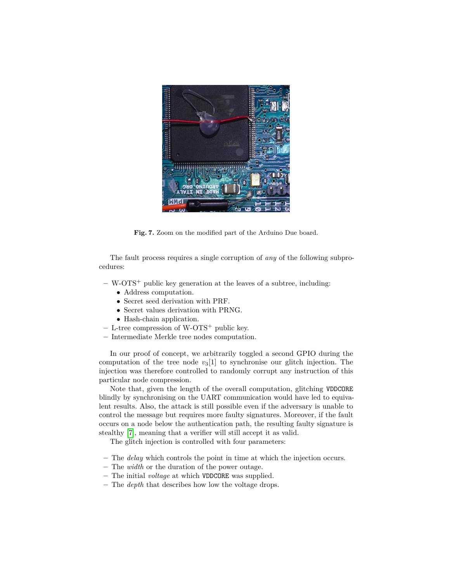

**Fig. 7.** Zoom on the modified part of the Arduino Due board.

<span id="page-13-0"></span>The fault process requires a single corruption of *any* of the following subprocedures:

- **–** W-OTS<sup>+</sup> public key generation at the leaves of a subtree, including:
	- Address computation.
	- Secret seed derivation with PRF.
	- Secret values derivation with PRNG.
	- Hash-chain application.
- **–** L-tree compression of W-OTS<sup>+</sup> public key.
- **–** Intermediate Merkle tree nodes computation.

In our proof of concept, we arbitrarily toggled a second GPIO during the computation of the tree node  $v_3[1]$  to synchronise our glitch injection. The injection was therefore controlled to randomly corrupt any instruction of this particular node compression.

Note that, given the length of the overall computation, glitching VDDCORE blindly by synchronising on the UART communication would have led to equivalent results. Also, the attack is still possible even if the adversary is unable to control the message but requires more faulty signatures. Moreover, if the fault occurs on a node below the authentication path, the resulting faulty signature is stealthy [\[7\]](#page-16-0), meaning that a verifier will still accept it as valid.

The glitch injection is controlled with four parameters:

- **–** The *delay* which controls the point in time at which the injection occurs.
- **–** The *width* or the duration of the power outage.
- **–** The initial *voltage* at which VDDCORE was supplied.
- **–** The *depth* that describes how low the voltage drops.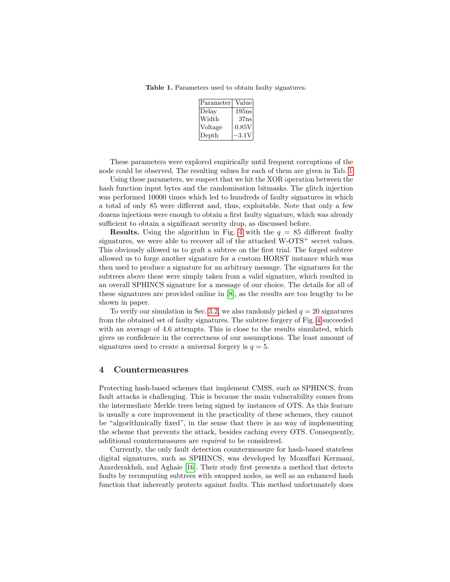**Table 1.** Parameters used to obtain faulty signatures.

<span id="page-14-0"></span>

| Parameter | Value             |
|-----------|-------------------|
| Delay     | 195 <sub>ns</sub> |
| Width     | $37 \text{ns}$    |
| Voltage   | 0.85V             |
| Depth     | -3.1V             |

These parameters were explored empirically until frequent corruptions of the node could be observed. The resulting values for each of them are given in Tab. [1.](#page-14-0)

Using these parameters, we suspect that we hit the XOR operation between the hash function input bytes and the randomisation bitmasks. The glitch injection was performed 10000 times which led to hundreds of faulty signatures in which a total of only 85 were different and, thus, exploitable. Note that only a few dozens injections were enough to obtain a first faulty signature, which was already sufficient to obtain a significant security drop, as discussed before.

**Results.** Using the algorithm in Fig. [4](#page-9-0) with the  $q = 85$  different faulty signatures, we were able to recover all of the attacked  $W-OTS^+$  secret values. This obviously allowed us to graft a subtree on the first trial. The forged subtree allowed us to forge another signature for a custom HORST instance which was then used to produce a signature for an arbitrary message. The signatures for the subtrees above these were simply taken from a valid signature, which resulted in an overall SPHINCS signature for a message of our choice. The details for all of these signatures are provided online in [\[8\]](#page-16-9), as the results are too lengthy to be shown in paper.

To verify our simulation in Sec. [3.2,](#page-10-1) we also randomly picked  $q = 20$  signatures from the obtained set of faulty signatures. The subtree forgery of Fig. [4](#page-9-0) succeeded with an average of 4.6 attempts. This is close to the results simulated, which gives us confidence in the correctness of our assumptions. The least amount of signatures used to create a universal forgery is  $q = 5$ .

### **4 Countermeasures**

Protecting hash-based schemes that implement CMSS, such as SPHINCS, from fault attacks is challenging. This is because the main vulnerability comes from the intermediate Merkle trees being signed by instances of OTS. As this feature is usually a core improvement in the practicality of these schemes, they cannot be "algorithmically fixed", in the sense that there is no way of implementing the scheme that prevents the attack, besides caching every OTS. Consequently, additional countermeasures are *required* to be considered.

Currently, the only fault detection countermeasure for hash-based stateless digital signatures, such as SPHINCS, was developed by Mozaffari Kermani, Azarderakhsh, and Aghaie [\[16\]](#page-17-3). Their study first presents a method that detects faults by recomputing subtrees with swapped nodes, as well as an enhanced hash function that inherently protects against faults. This method unfortunately does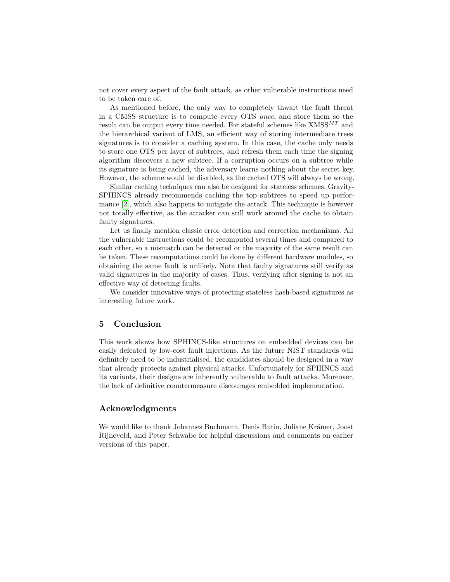not cover every aspect of the fault attack, as other vulnerable instructions need to be taken care of.

As mentioned before, the only way to completely thwart the fault threat in a CMSS structure is to compute every OTS *once*, and store them so the result can be output every time needed. For stateful schemes like  ${\rm XMSS}^{MT}$  and the hierarchical variant of LMS, an efficient way of storing intermediate trees signatures is to consider a caching system. In this case, the cache only needs to store one OTS per layer of subtrees, and refresh them each time the signing algorithm discovers a new subtree. If a corruption occurs on a subtree while its signature is being cached, the adversary learns nothing about the secret key. However, the scheme would be disabled, as the cached OTS will always be wrong.

Similar caching techniques can also be designed for stateless schemes. Gravity-SPHINCS already recommends caching the top subtrees to speed up performance [\[2\]](#page-16-4), which also happens to mitigate the attack. This technique is however not totally effective, as the attacker can still work around the cache to obtain faulty signatures.

Let us finally mention classic error detection and correction mechanisms. All the vulnerable instructions could be recomputed several times and compared to each other, so a mismatch can be detected or the majority of the same result can be taken. These recomputations could be done by different hardware modules, so obtaining the same fault is unlikely. Note that faulty signatures still verify as valid signatures in the majority of cases. Thus, verifying after signing is not an effective way of detecting faults.

We consider innovative ways of protecting stateless hash-based signatures as interesting future work.

### **5 Conclusion**

This work shows how SPHINCS-like structures on embedded devices can be easily defeated by low-cost fault injections. As the future NIST standards will definitely need to be industrialised, the candidates should be designed in a way that already protects against physical attacks. Unfortunately for SPHINCS and its variants, their designs are inherently vulnerable to fault attacks. Moreover, the lack of definitive countermeasure discourages embedded implementation.

### **Acknowledgments**

We would like to thank Johannes Buchmann, Denis Butin, Juliane Krämer, Joost Rijneveld, and Peter Schwabe for helpful discussions and comments on earlier versions of this paper.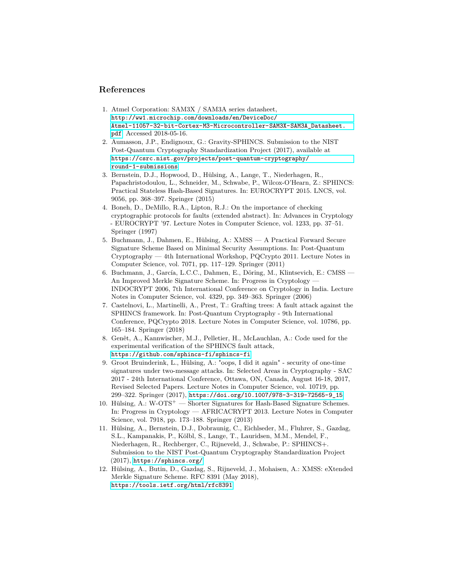# **References**

- <span id="page-16-11"></span>1. Atmel Corporation: SAM3X / SAM3A series datasheet, [http://ww1.microchip.com/downloads/en/DeviceDoc/](http://ww1.microchip.com/downloads/en/DeviceDoc/Atmel-11057-32-bit-Cortex-M3-Microcontroller-SAM3X-SAM3A_Datasheet.pdf) [Atmel-11057-32-bit-Cortex-M3-Microcontroller-SAM3X-SAM3A\\_Datasheet.](http://ww1.microchip.com/downloads/en/DeviceDoc/Atmel-11057-32-bit-Cortex-M3-Microcontroller-SAM3X-SAM3A_Datasheet.pdf) [pdf](http://ww1.microchip.com/downloads/en/DeviceDoc/Atmel-11057-32-bit-Cortex-M3-Microcontroller-SAM3X-SAM3A_Datasheet.pdf). Accessed 2018-05-16.
- <span id="page-16-4"></span>2. Aumasson, J.P., Endignoux, G.: Gravity-SPHINCS. Submission to the NIST Post-Quantum Cryptography Standardization Project (2017), available at [https://csrc.nist.gov/projects/post-quantum-cryptography/](https://csrc.nist.gov/projects/post-quantum-cryptography/round-1-submissions) [round-1-submissions](https://csrc.nist.gov/projects/post-quantum-cryptography/round-1-submissions)
- <span id="page-16-1"></span>3. Bernstein, D.J., Hopwood, D., Hülsing, A., Lange, T., Niederhagen, R., Papachristodoulou, L., Schneider, M., Schwabe, P., Wilcox-O'Hearn, Z.: SPHINCS: Practical Stateless Hash-Based Signatures. In: EUROCRYPT 2015. LNCS, vol. 9056, pp. 368–397. Springer (2015)
- <span id="page-16-2"></span>4. Boneh, D., DeMillo, R.A., Lipton, R.J.: On the importance of checking cryptographic protocols for faults (extended abstract). In: Advances in Cryptology - EUROCRYPT '97. Lecture Notes in Computer Science, vol. 1233, pp. 37–51. Springer (1997)
- <span id="page-16-5"></span>5. Buchmann, J., Dahmen, E., Hülsing, A.: XMSS — A Practical Forward Secure Signature Scheme Based on Minimal Security Assumptions. In: Post-Quantum Cryptography — 4th International Workshop, PQCrypto 2011. Lecture Notes in Computer Science, vol. 7071, pp. 117–129. Springer (2011)
- <span id="page-16-8"></span>6. Buchmann, J., García, L.C.C., Dahmen, E., Döring, M., Klintsevich, E.: CMSS — An Improved Merkle Signature Scheme. In: Progress in Cryptology — INDOCRYPT 2006, 7th International Conference on Cryptology in India. Lecture Notes in Computer Science, vol. 4329, pp. 349–363. Springer (2006)
- <span id="page-16-0"></span>7. Castelnovi, L., Martinelli, A., Prest, T.: Grafting trees: A fault attack against the SPHINCS framework. In: Post-Quantum Cryptography - 9th International Conference, PQCrypto 2018. Lecture Notes in Computer Science, vol. 10786, pp. 165–184. Springer (2018)
- <span id="page-16-9"></span>8. Genêt, A., Kannwischer, M.J., Pelletier, H., McLauchlan, A.: Code used for the experimental verification of the SPHINCS fault attack, <https://github.com/sphincs-fi/sphincs-fi>
- <span id="page-16-10"></span>9. Groot Bruinderink, L., Hülsing, A.: "oops, I did it again" - security of one-time signatures under two-message attacks. In: Selected Areas in Cryptography - SAC 2017 - 24th International Conference, Ottawa, ON, Canada, August 16-18, 2017, Revised Selected Papers. Lecture Notes in Computer Science, vol. 10719, pp. 299–322. Springer (2017), [https://doi.org/10.1007/978-3-319-72565-9\\_15](https://doi.org/10.1007/978-3-319-72565-9_15)
- <span id="page-16-7"></span>10. Hülsing, A.:  $W$ - $\text{OTS}^+$  — Shorter Signatures for Hash-Based Signature Schemes. In: Progress in Cryptology — AFRICACRYPT 2013. Lecture Notes in Computer Science, vol. 7918, pp. 173–188. Springer (2013)
- <span id="page-16-3"></span>11. Hülsing, A., Bernstein, D.J., Dobraunig, C., Eichlseder, M., Fluhrer, S., Gazdag, S.L., Kampanakis, P., Kölbl, S., Lange, T., Lauridsen, M.M., Mendel, F., Niederhagen, R., Rechberger, C., Rijneveld, J., Schwabe, P.: SPHINCS+. Submission to the NIST Post-Quantum Cryptography Standardization Project (2017), <https://sphincs.org/>
- <span id="page-16-6"></span>12. Hülsing, A., Butin, D., Gazdag, S., Rijneveld, J., Mohaisen, A.: XMSS: eXtended Merkle Signature Scheme. RFC 8391 (May 2018), <https://tools.ietf.org/html/rfc8391>